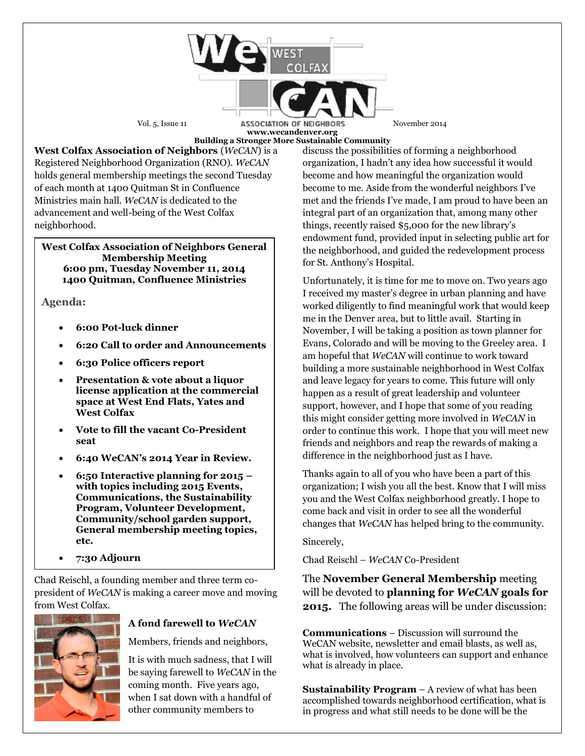

**www.wecandenver.org Building a Stronger More Sustainable Community**

**West Colfax Association of Neighbors** (*WeCAN*) is a Registered Neighborhood Organization (RNO). *WeCAN*  holds general membership meetings the second Tuesday of each month at 1400 Quitman St in Confluence Ministries main hall. *WeCAN* is dedicated to the advancement and well-being of the West Colfax neighborhood.

#### **West Colfax Association of Neighbors General Membership Meeting 6:00 pm, Tuesday November 11, 2014 1400 Quitman, Confluence Ministries**

**Agenda:**

- **6:00 Pot-luck dinner**
- **6:20 Call to order and Announcements**
- **6:30 Police officers report**
- **Presentation & vote about a liquor license application at the commercial space at West End Flats, Yates and West Colfax**
- **Vote to fill the vacant Co-President seat**
- **6:40 WeCAN's 2014 Year in Review.**
- **6:50 Interactive planning for 2015 – with topics including 2015 Events, Communications, the Sustainability Program, Volunteer Development, Community/school garden support, General membership meeting topics, etc.**
- **7:30 Adjourn**

Chad Reischl, a founding member and three term copresident of *WeCAN* is making a career move and moving from West Colfax.



# **A fond farewell to** *WeCAN*

Members, friends and neighbors,

It is with much sadness, that I will be saying farewell to *WeCAN* in the coming month. Five years ago, when I sat down with a handful of other community members to

discuss the possibilities of forming a neighborhood organization, I hadn't any idea how successful it would become and how meaningful the organization would become to me. Aside from the wonderful neighbors I've met and the friends I've made, I am proud to have been an integral part of an organization that, among many other things, recently raised \$5,000 for the new library's endowment fund, provided input in selecting public art for the neighborhood, and guided the redevelopment process for St. Anthony's Hospital.

Unfortunately, it is time for me to move on. Two years ago I received my master's degree in urban planning and have worked diligently to find meaningful work that would keep me in the Denver area, but to little avail. Starting in November, I will be taking a position as town planner for Evans, Colorado and will be moving to the Greeley area. I am hopeful that *WeCAN* will continue to work toward building a more sustainable neighborhood in West Colfax and leave legacy for years to come. This future will only happen as a result of great leadership and volunteer support, however, and I hope that some of you reading this might consider getting more involved in *WeCAN* in order to continue this work. I hope that you will meet new friends and neighbors and reap the rewards of making a difference in the neighborhood just as I have.

Thanks again to all of you who have been a part of this organization; I wish you all the best. Know that I will miss you and the West Colfax neighborhood greatly. I hope to come back and visit in order to see all the wonderful changes that *WeCAN* has helped bring to the community.

Sincerely,

Chad Reischl – *WeCAN* Co-President

The **November General Membership** meeting will be devoted to **planning for** *WeCAN* **goals for 2015.** The following areas will be under discussion:

**Communications** – Discussion will surround the WeCAN website, newsletter and email blasts, as well as, what is involved, how volunteers can support and enhance what is already in place.

**Sustainability Program** – A review of what has been accomplished towards neighborhood certification, what is in progress and what still needs to be done will be the